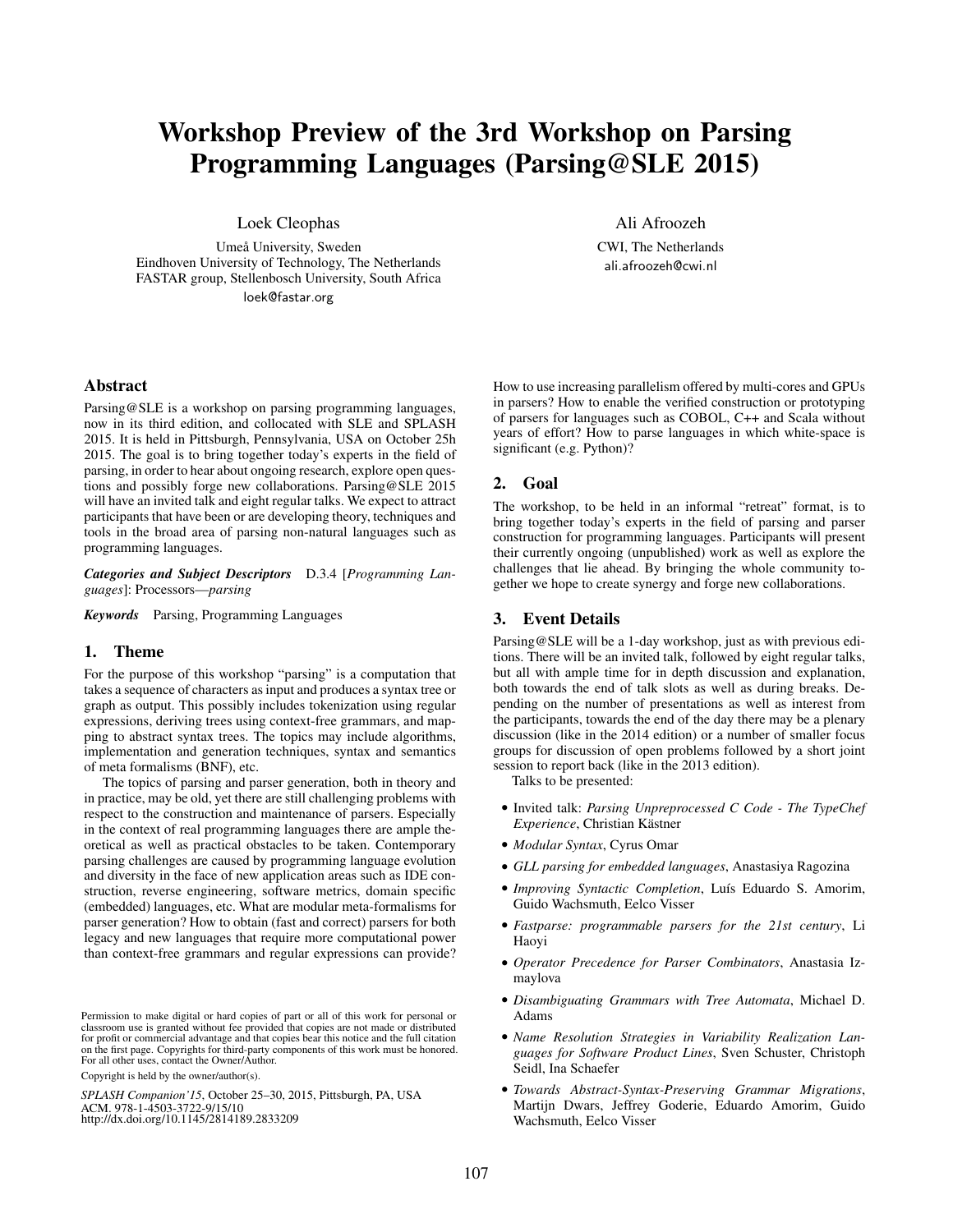# Workshop Preview of the 3rd Workshop on Parsing Programming Languages (Parsing@SLE 2015)

Loek Cleophas

Umeå University, Sweden Eindhoven University of Technology, The Netherlands FASTAR group, Stellenbosch University, South Africa loek@fastar.org

Ali Afroozeh

CWI, The Netherlands ali.afroozeh@cwi.nl

# Abstract

Parsing@SLE is a workshop on parsing programming languages, now in its third edition, and collocated with SLE and SPLASH 2015. It is held in Pittsburgh, Pennsylvania, USA on October 25h 2015. The goal is to bring together today's experts in the field of parsing, in order to hear about ongoing research, explore open questions and possibly forge new collaborations. Parsing@SLE 2015 will have an invited talk and eight regular talks. We expect to attract participants that have been or are developing theory, techniques and tools in the broad area of parsing non-natural languages such as programming languages.

*Categories and Subject Descriptors* D.3.4 [*Programming Languages*]: Processors—*parsing*

*Keywords* Parsing, Programming Languages

#### 1. Theme

For the purpose of this workshop "parsing" is a computation that takes a sequence of characters as input and produces a syntax tree or graph as output. This possibly includes tokenization using regular expressions, deriving trees using context-free grammars, and mapping to abstract syntax trees. The topics may include algorithms, implementation and generation techniques, syntax and semantics of meta formalisms (BNF), etc.

The topics of parsing and parser generation, both in theory and in practice, may be old, yet there are still challenging problems with respect to the construction and maintenance of parsers. Especially in the context of real programming languages there are ample theoretical as well as practical obstacles to be taken. Contemporary parsing challenges are caused by programming language evolution and diversity in the face of new application areas such as IDE construction, reverse engineering, software metrics, domain specific (embedded) languages, etc. What are modular meta-formalisms for parser generation? How to obtain (fast and correct) parsers for both legacy and new languages that require more computational power than context-free grammars and regular expressions can provide?

Permission to make digital or hard copies of part or all of this work for personal or classroom use is granted without fee provided that copies are not made or distributed for profit or commercial advantage and that copies bear this notice and the full citation on the first page. Copyrights for third-party components of this work must be honored. For all other uses, contact the Owner/Author.

Copyright is held by the owner/author(s).

*SPLASH Companion'15*, October 25–30, 2015, Pittsburgh, PA, USA ACM. 978-1-4503-3722-9/15/10 http://dx.doi.org/10.1145/2814189.2833209

How to use increasing parallelism offered by multi-cores and GPUs in parsers? How to enable the verified construction or prototyping of parsers for languages such as COBOL, C++ and Scala without years of effort? How to parse languages in which white-space is significant (e.g. Python)?

### 2. Goal

The workshop, to be held in an informal "retreat" format, is to bring together today's experts in the field of parsing and parser construction for programming languages. Participants will present their currently ongoing (unpublished) work as well as explore the challenges that lie ahead. By bringing the whole community together we hope to create synergy and forge new collaborations.

### 3. Event Details

Parsing@SLE will be a 1-day workshop, just as with previous editions. There will be an invited talk, followed by eight regular talks, but all with ample time for in depth discussion and explanation, both towards the end of talk slots as well as during breaks. Depending on the number of presentations as well as interest from the participants, towards the end of the day there may be a plenary discussion (like in the 2014 edition) or a number of smaller focus groups for discussion of open problems followed by a short joint session to report back (like in the 2013 edition).

Talks to be presented:

- Invited talk: *Parsing Unpreprocessed C Code The TypeChef*  $Exercise$ , Christian Kästner
- *Modular Syntax*, Cyrus Omar
- *GLL parsing for embedded languages*, Anastasiya Ragozina
- $\bullet$  *Improving Syntactic Completion*, Luís Eduardo S. Amorim, Guido Wachsmuth, Eelco Visser
- *Fastparse: programmable parsers for the 21st century*, Li Haoyi
- *Operator Precedence for Parser Combinators*, Anastasia Izmaylova
- *Disambiguating Grammars with Tree Automata*, Michael D. Adams
- *Name Resolution Strategies in Variability Realization Languages for Software Product Lines*, Sven Schuster, Christoph Seidl, Ina Schaefer
- *Towards Abstract-Syntax-Preserving Grammar Migrations*, Martijn Dwars, Jeffrey Goderie, Eduardo Amorim, Guido Wachsmuth, Eelco Visser